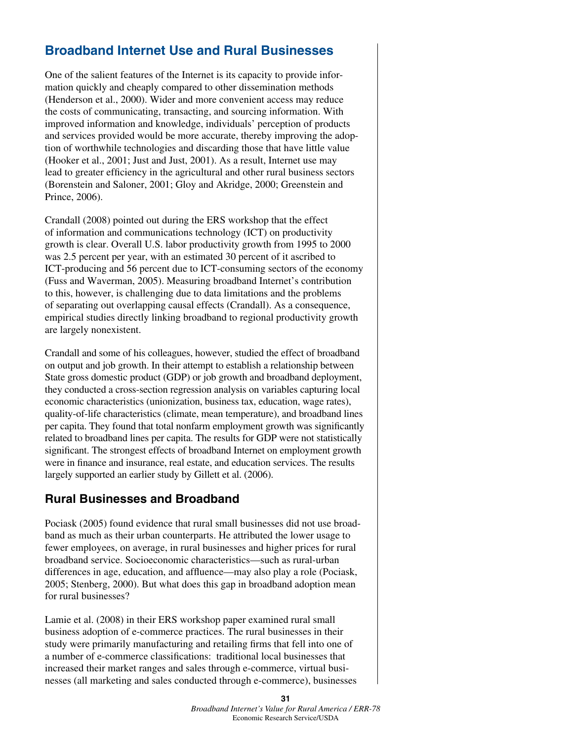# **Broadband Internet Use and Rural Businesses**

One of the salient features of the Internet is its capacity to provide information quickly and cheaply compared to other dissemination methods (Henderson et al., 2000). Wider and more convenient access may reduce the costs of communicating, transacting, and sourcing information. With improved information and knowledge, individuals' perception of products and services provided would be more accurate, thereby improving the adoption of worthwhile technologies and discarding those that have little value (Hooker et al., 2001; Just and Just, 2001). As a result, Internet use may lead to greater efficiency in the agricultural and other rural business sectors (Borenstein and Saloner, 2001; Gloy and Akridge, 2000; Greenstein and Prince, 2006).

Crandall (2008) pointed out during the ERS workshop that the effect of information and communications technology (ICT) on productivity growth is clear. Overall U.S. labor productivity growth from 1995 to 2000 was 2.5 percent per year, with an estimated 30 percent of it ascribed to ICT-producing and 56 percent due to ICT-consuming sectors of the economy (Fuss and Waverman, 2005). Measuring broadband Internet's contribution to this, however, is challenging due to data limitations and the problems of separating out overlapping causal effects (Crandall). As a consequence, empirical studies directly linking broadband to regional productivity growth are largely nonexistent.

Crandall and some of his colleagues, however, studied the effect of broadband on output and job growth. In their attempt to establish a relationship between State gross domestic product (GDP) or job growth and broadband deployment, they conducted a cross-section regression analysis on variables capturing local economic characteristics (unionization, business tax, education, wage rates), quality-of-life characteristics (climate, mean temperature), and broadband lines per capita. They found that total nonfarm employment growth was significantly related to broadband lines per capita. The results for GDP were not statistically significant. The strongest effects of broadband Internet on employment growth were in finance and insurance, real estate, and education services. The results largely supported an earlier study by Gillett et al. (2006).

### **Rural Businesses and Broadband**

Pociask (2005) found evidence that rural small businesses did not use broadband as much as their urban counterparts. He attributed the lower usage to fewer employees, on average, in rural businesses and higher prices for rural broadband service. Socioeconomic characteristics—such as rural-urban differences in age, education, and affluence—may also play a role (Pociask, 2005; Stenberg, 2000). But what does this gap in broadband adoption mean for rural businesses?

Lamie et al. (2008) in their ERS workshop paper examined rural small business adoption of e-commerce practices. The rural businesses in their study were primarily manufacturing and retailing firms that fell into one of a number of e-commerce classifications: traditional local businesses that increased their market ranges and sales through e-commerce, virtual businesses (all marketing and sales conducted through e-commerce), businesses

#### **31**  *Broadband Internet's Value for Rural America / ERR-78* Economic Research Service/USDA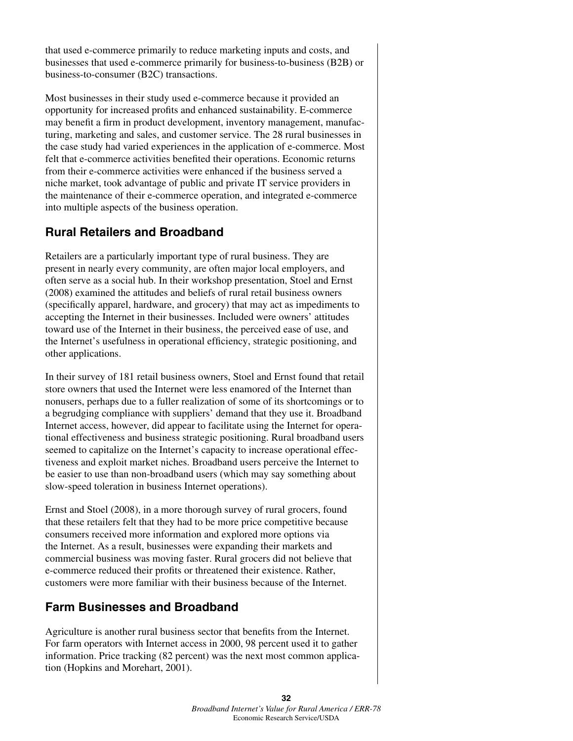that used e-commerce primarily to reduce marketing inputs and costs, and businesses that used e-commerce primarily for business-to-business (B2B) or business-to-consumer (B2C) transactions.

Most businesses in their study used e-commerce because it provided an opportunity for increased profits and enhanced sustainability. E-commerce may benefit a firm in product development, inventory management, manufacturing, marketing and sales, and customer service. The 28 rural businesses in the case study had varied experiences in the application of e-commerce. Most felt that e-commerce activities benefited their operations. Economic returns from their e-commerce activities were enhanced if the business served a niche market, took advantage of public and private IT service providers in the maintenance of their e-commerce operation, and integrated e-commerce into multiple aspects of the business operation.

## **Rural Retailers and Broadband**

Retailers are a particularly important type of rural business. They are present in nearly every community, are often major local employers, and often serve as a social hub. In their workshop presentation, Stoel and Ernst (2008) examined the attitudes and beliefs of rural retail business owners (specifically apparel, hardware, and grocery) that may act as impediments to accepting the Internet in their businesses. Included were owners' attitudes toward use of the Internet in their business, the perceived ease of use, and the Internet's usefulness in operational efficiency, strategic positioning, and other applications.

In their survey of 181 retail business owners, Stoel and Ernst found that retail store owners that used the Internet were less enamored of the Internet than nonusers, perhaps due to a fuller realization of some of its shortcomings or to a begrudging compliance with suppliers' demand that they use it. Broadband Internet access, however, did appear to facilitate using the Internet for operational effectiveness and business strategic positioning. Rural broadband users seemed to capitalize on the Internet's capacity to increase operational effectiveness and exploit market niches. Broadband users perceive the Internet to be easier to use than non-broadband users (which may say something about slow-speed toleration in business Internet operations).

Ernst and Stoel (2008), in a more thorough survey of rural grocers, found that these retailers felt that they had to be more price competitive because consumers received more information and explored more options via the Internet. As a result, businesses were expanding their markets and commercial business was moving faster. Rural grocers did not believe that e-commerce reduced their profits or threatened their existence. Rather, customers were more familiar with their business because of the Internet.

### **Farm Businesses and Broadband**

Agriculture is another rural business sector that benefits from the Internet. For farm operators with Internet access in 2000, 98 percent used it to gather information. Price tracking (82 percent) was the next most common application (Hopkins and Morehart, 2001).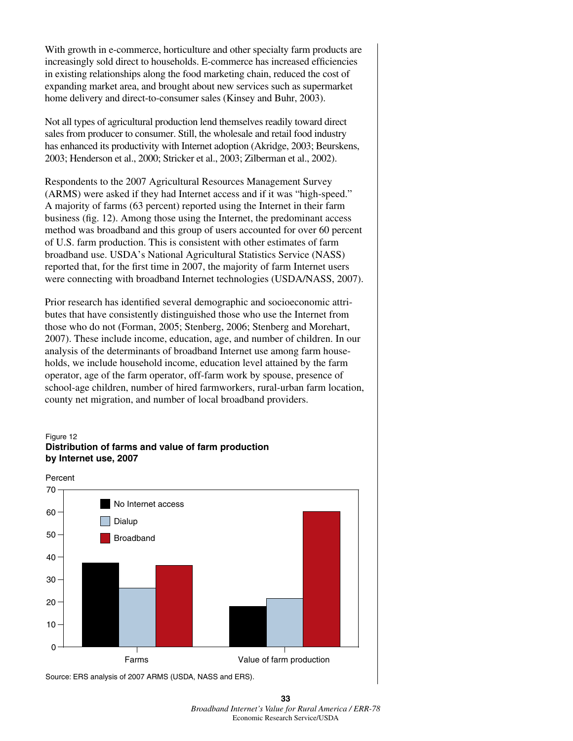With growth in e-commerce, horticulture and other specialty farm products are increasingly sold direct to households. E-commerce has increased efficiencies in existing relationships along the food marketing chain, reduced the cost of expanding market area, and brought about new services such as supermarket home delivery and direct-to-consumer sales (Kinsey and Buhr, 2003).

Not all types of agricultural production lend themselves readily toward direct sales from producer to consumer. Still, the wholesale and retail food industry has enhanced its productivity with Internet adoption (Akridge, 2003; Beurskens, 2003; Henderson et al., 2000; Stricker et al., 2003; Zilberman et al., 2002).

Respondents to the 2007 Agricultural Resources Management Survey (ARMS) were asked if they had Internet access and if it was "high-speed." A majority of farms (63 percent) reported using the Internet in their farm business (fig. 12). Among those using the Internet, the predominant access method was broadband and this group of users accounted for over 60 percent of U.S. farm production. This is consistent with other estimates of farm broadband use. USDA's National Agricultural Statistics Service (NASS) reported that, for the first time in 2007, the majority of farm Internet users were connecting with broadband Internet technologies (USDA/NASS, 2007).

Prior research has identified several demographic and socioeconomic attributes that have consistently distinguished those who use the Internet from those who do not (Forman, 2005; Stenberg, 2006; Stenberg and Morehart, 2007). These include income, education, age, and number of children. In our analysis of the determinants of broadband Internet use among farm households, we include household income, education level attained by the farm operator, age of the farm operator, off-farm work by spouse, presence of school-age children, number of hired farmworkers, rural-urban farm location, county net migration, and number of local broadband providers.

#### Figure 12 **Distribution of farms and value of farm production by Internet use, 2007**



Source: ERS analysis of 2007 ARMS (USDA, NASS and ERS).

**<sup>33</sup>**  *Broadband Internet's Value for Rural America / ERR-78* Economic Research Service/USDA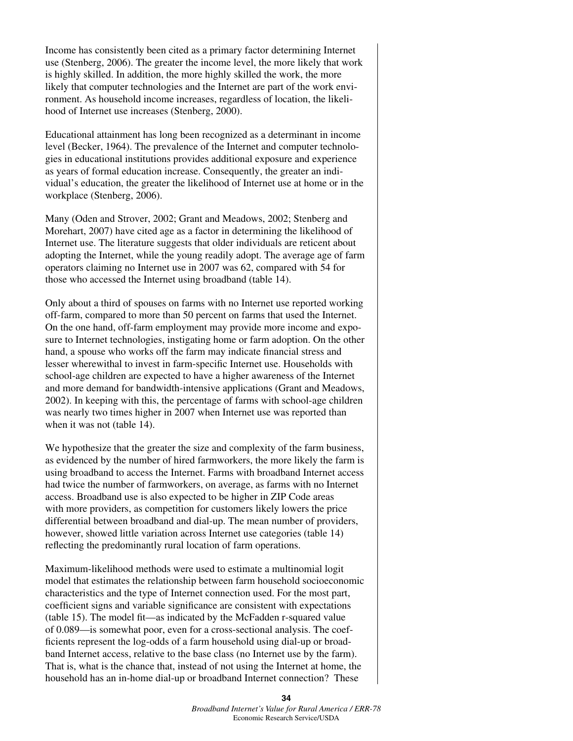Income has consistently been cited as a primary factor determining Internet use (Stenberg, 2006). The greater the income level, the more likely that work is highly skilled. In addition, the more highly skilled the work, the more likely that computer technologies and the Internet are part of the work environment. As household income increases, regardless of location, the likelihood of Internet use increases (Stenberg, 2000).

Educational attainment has long been recognized as a determinant in income level (Becker, 1964). The prevalence of the Internet and computer technologies in educational institutions provides additional exposure and experience as years of formal education increase. Consequently, the greater an individual's education, the greater the likelihood of Internet use at home or in the workplace (Stenberg, 2006).

Many (Oden and Strover, 2002; Grant and Meadows, 2002; Stenberg and Morehart, 2007) have cited age as a factor in determining the likelihood of Internet use. The literature suggests that older individuals are reticent about adopting the Internet, while the young readily adopt. The average age of farm operators claiming no Internet use in 2007 was 62, compared with 54 for those who accessed the Internet using broadband (table 14).

Only about a third of spouses on farms with no Internet use reported working off-farm, compared to more than 50 percent on farms that used the Internet. On the one hand, off-farm employment may provide more income and exposure to Internet technologies, instigating home or farm adoption. On the other hand, a spouse who works off the farm may indicate financial stress and lesser wherewithal to invest in farm-specific Internet use. Households with school-age children are expected to have a higher awareness of the Internet and more demand for bandwidth-intensive applications (Grant and Meadows, 2002). In keeping with this, the percentage of farms with school-age children was nearly two times higher in 2007 when Internet use was reported than when it was not (table 14).

We hypothesize that the greater the size and complexity of the farm business, as evidenced by the number of hired farmworkers, the more likely the farm is using broadband to access the Internet. Farms with broadband Internet access had twice the number of farmworkers, on average, as farms with no Internet access. Broadband use is also expected to be higher in ZIP Code areas with more providers, as competition for customers likely lowers the price differential between broadband and dial-up. The mean number of providers, however, showed little variation across Internet use categories (table 14) reflecting the predominantly rural location of farm operations.

Maximum-likelihood methods were used to estimate a multinomial logit model that estimates the relationship between farm household socioeconomic characteristics and the type of Internet connection used. For the most part, coefficient signs and variable significance are consistent with expectations (table 15). The model fit—as indicated by the McFadden r-squared value of 0.089—is somewhat poor, even for a cross-sectional analysis. The coefficients represent the log-odds of a farm household using dial-up or broadband Internet access, relative to the base class (no Internet use by the farm). That is, what is the chance that, instead of not using the Internet at home, the household has an in-home dial-up or broadband Internet connection? These

> **34** *Broadband Internet's Value for Rural America / ERR-78* Economic Research Service/USDA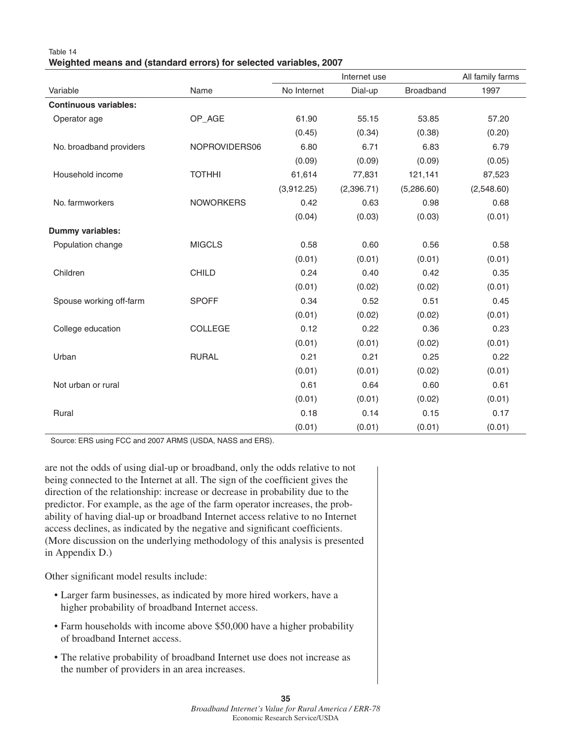| Table 14                                                          |  |  |
|-------------------------------------------------------------------|--|--|
| Weighted means and (standard errors) for selected variables, 2007 |  |  |

|                              |                  |             | Internet use |            | All family farms |
|------------------------------|------------------|-------------|--------------|------------|------------------|
| Variable                     | Name             | No Internet | Dial-up      | Broadband  | 1997             |
| <b>Continuous variables:</b> |                  |             |              |            |                  |
| Operator age                 | OP_AGE           | 61.90       | 55.15        | 53.85      | 57.20            |
|                              |                  | (0.45)      | (0.34)       | (0.38)     | (0.20)           |
| No. broadband providers      | NOPROVIDERS06    | 6.80        | 6.71         | 6.83       | 6.79             |
|                              |                  | (0.09)      | (0.09)       | (0.09)     | (0.05)           |
| Household income             | <b>TOTHHI</b>    | 61,614      | 77,831       | 121,141    | 87,523           |
|                              |                  | (3,912.25)  | (2,396.71)   | (5,286.60) | (2,548.60)       |
| No. farmworkers              | <b>NOWORKERS</b> | 0.42        | 0.63         | 0.98       | 0.68             |
|                              |                  | (0.04)      | (0.03)       | (0.03)     | (0.01)           |
| Dummy variables:             |                  |             |              |            |                  |
| Population change            | <b>MIGCLS</b>    | 0.58        | 0.60         | 0.56       | 0.58             |
|                              |                  | (0.01)      | (0.01)       | (0.01)     | (0.01)           |
| Children                     | <b>CHILD</b>     | 0.24        | 0.40         | 0.42       | 0.35             |
|                              |                  | (0.01)      | (0.02)       | (0.02)     | (0.01)           |
| Spouse working off-farm      | <b>SPOFF</b>     | 0.34        | 0.52         | 0.51       | 0.45             |
|                              |                  | (0.01)      | (0.02)       | (0.02)     | (0.01)           |
| College education            | COLLEGE          | 0.12        | 0.22         | 0.36       | 0.23             |
|                              |                  | (0.01)      | (0.01)       | (0.02)     | (0.01)           |
| Urban                        | <b>RURAL</b>     | 0.21        | 0.21         | 0.25       | 0.22             |
|                              |                  | (0.01)      | (0.01)       | (0.02)     | (0.01)           |
| Not urban or rural           |                  | 0.61        | 0.64         | 0.60       | 0.61             |
|                              |                  | (0.01)      | (0.01)       | (0.02)     | (0.01)           |
| Rural                        |                  | 0.18        | 0.14         | 0.15       | 0.17             |
|                              |                  | (0.01)      | (0.01)       | (0.01)     | (0.01)           |

Source: ERS using FCC and 2007 ARMS (USDA, NASS and ERS).

are not the odds of using dial-up or broadband, only the odds relative to not being connected to the Internet at all. The sign of the coefficient gives the direction of the relationship: increase or decrease in probability due to the predictor. For example, as the age of the farm operator increases, the probability of having dial-up or broadband Internet access relative to no Internet access declines, as indicated by the negative and significant coefficients. (More discussion on the underlying methodology of this analysis is presented in Appendix D.)

Other significant model results include:

- Larger farm businesses, as indicated by more hired workers, have a higher probability of broadband Internet access.
- Farm households with income above \$50,000 have a higher probability of broadband Internet access.
- The relative probability of broadband Internet use does not increase as the number of providers in an area increases.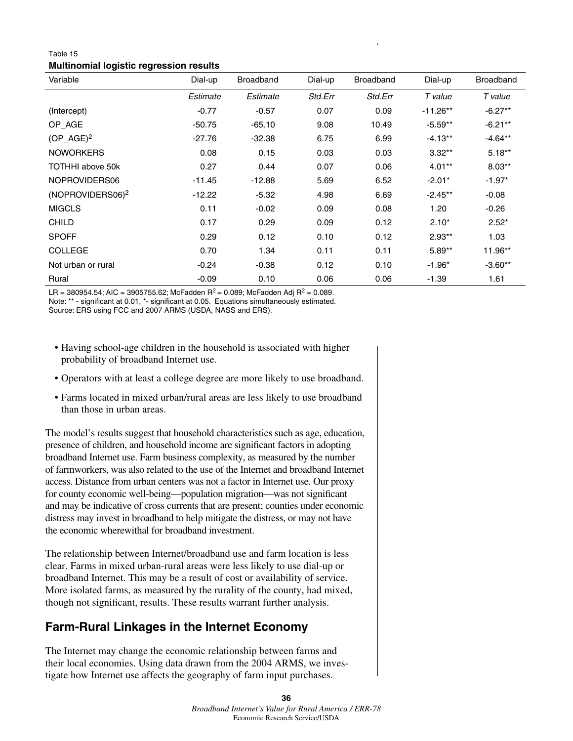### Table 15 **Multinomial logistic regression results**

| Variable                     | Dial-up  | <b>Broadband</b> | Dial-up | <b>Broadband</b> | Dial-up    | <b>Broadband</b> |
|------------------------------|----------|------------------|---------|------------------|------------|------------------|
|                              | Estimate | Estimate         | Std.Err | Std.Err          | T value    | T value          |
| (Intercept)                  | $-0.77$  | $-0.57$          | 0.07    | 0.09             | $-11.26**$ | $-6.27**$        |
| OP_AGE                       | $-50.75$ | $-65.10$         | 9.08    | 10.49            | $-5.59**$  | $-6.21**$        |
| $(OP_A G E)^2$               | $-27.76$ | $-32.38$         | 6.75    | 6.99             | $-4.13**$  | $-4.64**$        |
| <b>NOWORKERS</b>             | 0.08     | 0.15             | 0.03    | 0.03             | $3.32**$   | $5.18**$         |
| TOTHHI above 50k             | 0.27     | 0.44             | 0.07    | 0.06             | $4.01**$   | $8.03**$         |
| NOPROVIDERS06                | $-11.45$ | $-12.88$         | 5.69    | 6.52             | $-2.01*$   | $-1.97*$         |
| (NOPROVIDERS06) <sup>2</sup> | $-12.22$ | $-5.32$          | 4.98    | 6.69             | $-2.45**$  | $-0.08$          |
| <b>MIGCLS</b>                | 0.11     | $-0.02$          | 0.09    | 0.08             | 1.20       | $-0.26$          |
| <b>CHILD</b>                 | 0.17     | 0.29             | 0.09    | 0.12             | $2.10*$    | $2.52*$          |
| <b>SPOFF</b>                 | 0.29     | 0.12             | 0.10    | 0.12             | $2.93**$   | 1.03             |
| <b>COLLEGE</b>               | 0.70     | 1.34             | 0.11    | 0.11             | $5.89**$   | 11.96**          |
| Not urban or rural           | $-0.24$  | $-0.38$          | 0.12    | 0.10             | $-1.96*$   | $-3.60**$        |
| Rural                        | $-0.09$  | 0.10             | 0.06    | 0.06             | $-1.39$    | 1.61             |

LR = 380954.54; AIC = 3905755.62; McFadden R<sup>2</sup> = 0.089; McFadden Adj R<sup>2</sup> = 0.089. Note: \*\* - significant at 0.01, \*- significant at 0.05. Equations simultaneously estimated.

Source: ERS using FCC and 2007 ARMS (USDA, NASS and ERS).

- Having school-age children in the household is associated with higher probability of broadband Internet use.
- Operators with at least a college degree are more likely to use broadband.
- Farms located in mixed urban/rural areas are less likely to use broadband than those in urban areas.

The model's results suggest that household characteristics such as age, education, presence of children, and household income are significant factors in adopting broadband Internet use. Farm business complexity, as measured by the number of farmworkers, was also related to the use of the Internet and broadband Internet access. Distance from urban centers was not a factor in Internet use. Our proxy for county economic well-being—population migration—was not significant and may be indicative of cross currents that are present; counties under economic distress may invest in broadband to help mitigate the distress, or may not have the economic wherewithal for broadband investment.

The relationship between Internet/broadband use and farm location is less clear. Farms in mixed urban-rural areas were less likely to use dial-up or broadband Internet. This may be a result of cost or availability of service. More isolated farms, as measured by the rurality of the county, had mixed, though not significant, results. These results warrant further analysis.

## **Farm-Rural Linkages in the Internet Economy**

The Internet may change the economic relationship between farms and their local economies. Using data drawn from the 2004 ARMS, we investigate how Internet use affects the geography of farm input purchases.